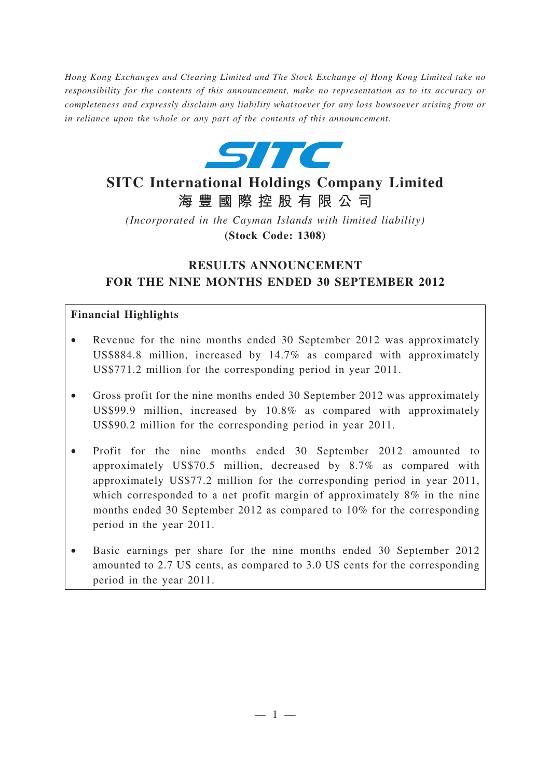*Hong Kong Exchanges and Clearing Limited and The Stock Exchange of Hong Kong Limited take no responsibility for the contents of this announcement, make no representation as to its accuracy or completeness and expressly disclaim any liability whatsoever for any loss howsoever arising from or in reliance upon the whole or any part of the contents of this announcement.*



# **SITC International Holdings Company Limited 海豐國際控股有限公司**

*(Incorporated in the Cayman Islands with limited liability)* **(Stock Code: 1308)**

## **RESULTS ANNOUNCEMENT FOR THE NINE MONTHS ENDED 30 SEPTEMBER 2012**

#### **Financial Highlights**

- Revenue for the nine months ended 30 September 2012 was approximately US\$884.8 million, increased by 14.7% as compared with approximately US\$771.2 million for the corresponding period in year 2011.
- Gross profit for the nine months ended 30 September 2012 was approximately US\$99.9 million, increased by 10.8% as compared with approximately US\$90.2 million for the corresponding period in year 2011.
- Profit for the nine months ended 30 September 2012 amounted to approximately US\$70.5 million, decreased by 8.7% as compared with approximately US\$77.2 million for the corresponding period in year 2011, which corresponded to a net profit margin of approximately 8% in the nine months ended 30 September 2012 as compared to 10% for the corresponding period in the year 2011.
- Basic earnings per share for the nine months ended 30 September 2012 amounted to 2.7 US cents, as compared to 3.0 US cents for the corresponding period in the year 2011.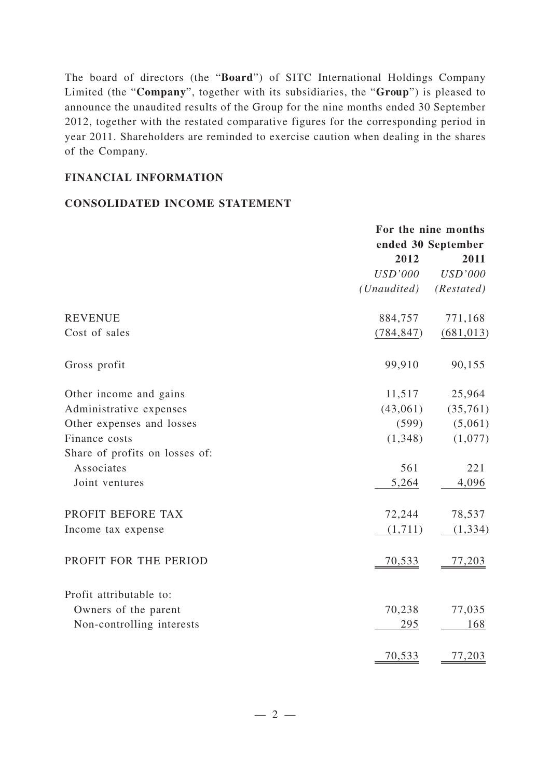The board of directors (the "**Board**") of SITC International Holdings Company Limited (the "**Company**", together with its subsidiaries, the "**Group**") is pleased to announce the unaudited results of the Group for the nine months ended 30 September 2012, together with the restated comparative figures for the corresponding period in year 2011. Shareholders are reminded to exercise caution when dealing in the shares of the Company.

#### **FINANCIAL INFORMATION**

#### **CONSOLIDATED INCOME STATEMENT**

|                                | For the nine months<br>ended 30 September |                |
|--------------------------------|-------------------------------------------|----------------|
|                                | 2012                                      | 2011           |
|                                | <b>USD'000</b>                            | <b>USD'000</b> |
|                                | (Unaudited)                               | (Restated)     |
| <b>REVENUE</b>                 | 884,757                                   | 771,168        |
| Cost of sales                  | (784, 847)                                | (681, 013)     |
| Gross profit                   | 99,910                                    | 90,155         |
| Other income and gains         | 11,517                                    | 25,964         |
| Administrative expenses        | (43,061)                                  | (35,761)       |
| Other expenses and losses      | (599)                                     | (5,061)        |
| Finance costs                  | (1,348)                                   | (1,077)        |
| Share of profits on losses of: |                                           |                |
| Associates                     | 561                                       | 221            |
| Joint ventures                 | 5,264                                     | 4,096          |
| PROFIT BEFORE TAX              | 72,244                                    | 78,537         |
| Income tax expense             | (1,711)                                   | (1, 334)       |
| PROFIT FOR THE PERIOD          | <u>70,533</u>                             | 77,203         |
| Profit attributable to:        |                                           |                |
| Owners of the parent           | 70,238                                    | 77,035         |
| Non-controlling interests      | 295                                       | 168            |
|                                | 70,533                                    | 77,203         |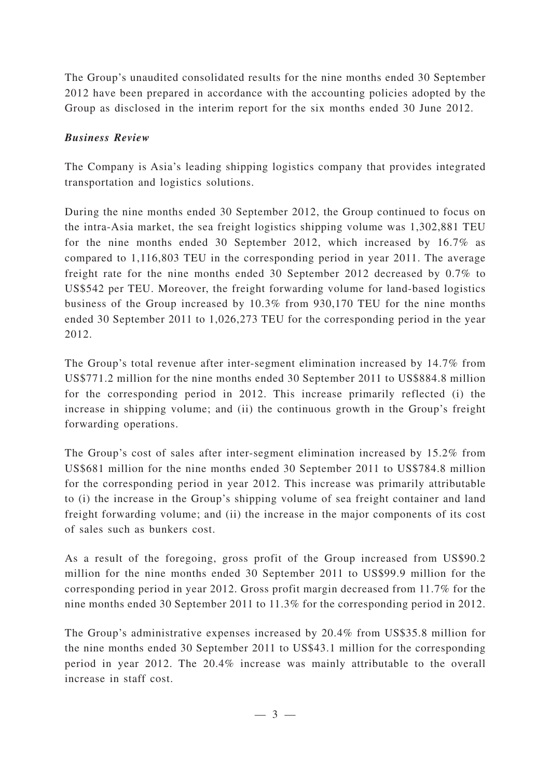The Group's unaudited consolidated results for the nine months ended 30 September 2012 have been prepared in accordance with the accounting policies adopted by the Group as disclosed in the interim report for the six months ended 30 June 2012.

### *Business Review*

The Company is Asia's leading shipping logistics company that provides integrated transportation and logistics solutions.

During the nine months ended 30 September 2012, the Group continued to focus on the intra-Asia market, the sea freight logistics shipping volume was 1,302,881 TEU for the nine months ended 30 September 2012, which increased by 16.7% as compared to 1,116,803 TEU in the corresponding period in year 2011. The average freight rate for the nine months ended 30 September 2012 decreased by 0.7% to US\$542 per TEU. Moreover, the freight forwarding volume for land-based logistics business of the Group increased by 10.3% from 930,170 TEU for the nine months ended 30 September 2011 to 1,026,273 TEU for the corresponding period in the year 2012.

The Group's total revenue after inter-segment elimination increased by 14.7% from US\$771.2 million for the nine months ended 30 September 2011 to US\$884.8 million for the corresponding period in 2012. This increase primarily reflected (i) the increase in shipping volume; and (ii) the continuous growth in the Group's freight forwarding operations.

The Group's cost of sales after inter-segment elimination increased by 15.2% from US\$681 million for the nine months ended 30 September 2011 to US\$784.8 million for the corresponding period in year 2012. This increase was primarily attributable to (i) the increase in the Group's shipping volume of sea freight container and land freight forwarding volume; and (ii) the increase in the major components of its cost of sales such as bunkers cost.

As a result of the foregoing, gross profit of the Group increased from US\$90.2 million for the nine months ended 30 September 2011 to US\$99.9 million for the corresponding period in year 2012. Gross profit margin decreased from 11.7% for the nine months ended 30 September 2011 to 11.3% for the corresponding period in 2012.

The Group's administrative expenses increased by 20.4% from US\$35.8 million for the nine months ended 30 September 2011 to US\$43.1 million for the corresponding period in year 2012. The 20.4% increase was mainly attributable to the overall increase in staff cost.